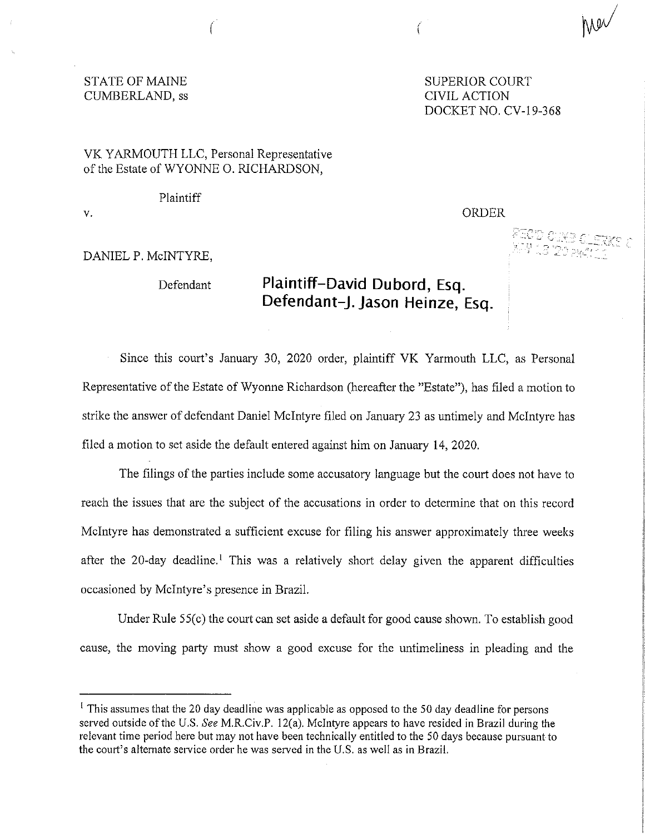## STATE OF MAINE SUPERIOR COURT CUMBERLAND, ss CIVIL ACTION

DOCKET NO. CV-19-368

ORDER

FIOD CIKE OUTS<br>XPI 18 'ZOPACILL

## VK YARMOUTH LLC, Personal Representative of the Estate of WYONNE 0. RICHARDSON,

Plaintiff

V. 

## DANIEL P. McINTYRE,

## Defendant **Plaintiff-David Dubord, Esq. Defendant-J. Jason Heinze, Esq.**

Since this court's January 30, 2020 order, plaintiff VK Yarmouth LLC, as Personal Representative of the Estate of Wyonne Richardson (hereafter the "Estate"), has filed a motion to strike the answer of defendant Daniel McIntyre filed on January 23 as untimely and McIntyre has filed a motion to set aside the default entered against him on January 14, 2020.

 $\left($ 

The filings of the parties include some accusatory language but the court does not have to reach the issues that are the subject of the accusations in order to determine that on this record McIntyre has demonstrated a sufficient excuse for filing his answer approximately three weeks after the 20-day deadline.<sup>1</sup> This was a relatively short delay given the apparent difficulties occasioned by McIntyre's presence in Brazil.

Under Rule 55(c) the court can set aside a default for good cause shown. To establish good cause, the moving party must show a good excuse for the untimeliness in pleading and the

<sup>&</sup>lt;sup>1</sup> This assumes that the 20 day deadline was applicable as opposed to the 50 day deadline for persons served outside ofthe U.S. *See* M.R.Civ.P. 12(a). McIntyre appears to have resided in Brazil during the relevant time period here but may not have been technically entitled to the 50 days because pursuant to the court's alternate service order he was served in the U.S. as well as in Brazil.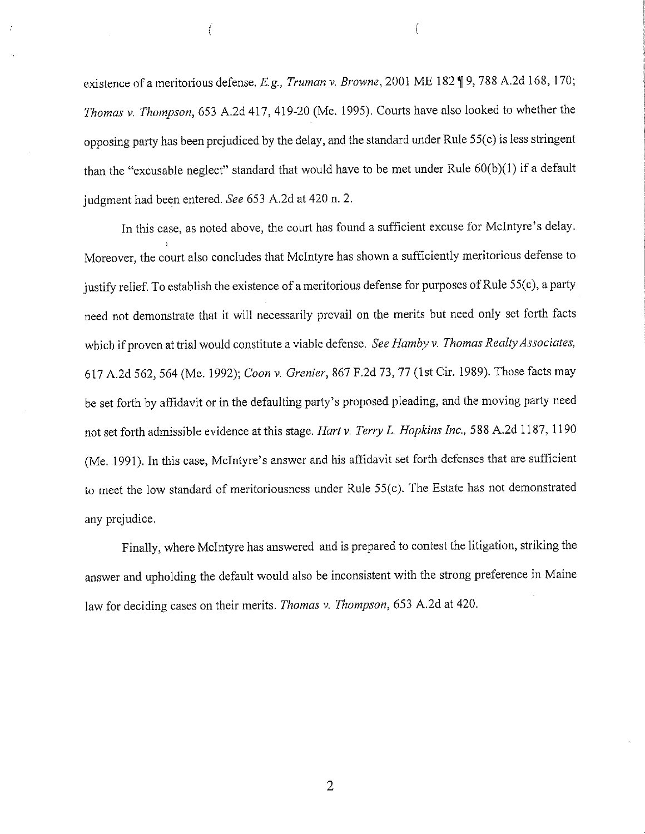existence of a meritorious defense. *E.g., Truman v. Browne*, 2001 ME 182 ¶ 9, 788 A.2d 168, 170; *Thomas v. Thompson,* 653 A.2d 417, 419-20 (Me. 1995). Courts have also looked to whether the opposing party has been prejudiced by the delay, and the standard under Rule 55(c) is less stringent than the "excusable neglect" standard that would have to be met under Rule  $60(b)(1)$  if a default judgment had been entered. *See* 653 A.2d at 420 n. 2.

In this case, as noted above, the court has found a sufficient excuse for McIntyre's delay. Moreover, the court also concludes that McIntyre has shown a sufficiently meritorious defense to justify relief. To establish the existence of a meritorious defense for purposes of Rule 55(c), a party need not demonstrate that it will necessarily prevail on the merits but need only set forth facts which if proven at trial would constitute a viable defense. *See Hamby v. Thomas Realty Associates*, 617 A.2d 562, 564 (Me. 1992); *Coon v. Grenier,* 867 F.2d 73, 77 (1st Cir. 1989). Those facts may be set forth by affidavit or in the defaulting party's proposed pleading, and the moving party need not set forth admissible evidence at this stage. *Hart v. Terry L. Hopkins Inc.,* 588 A.2d 1187, 1190 (Me. 1991). In this case, McIntyre's answer and his affidavit set forth defenses that are sufficient to meet the low standard of meritoriousness under Rule 55(c). The Estate has not demonstrated any prejudice.

Finally, where McIntyre has answered and is prepared to contest the litigation, striking the answer and upholding the default would also be inconsistent with the strong preference in Maine law for deciding cases on their merits. *Thomas v. Thompson,* 653 A.2d at 420.

2